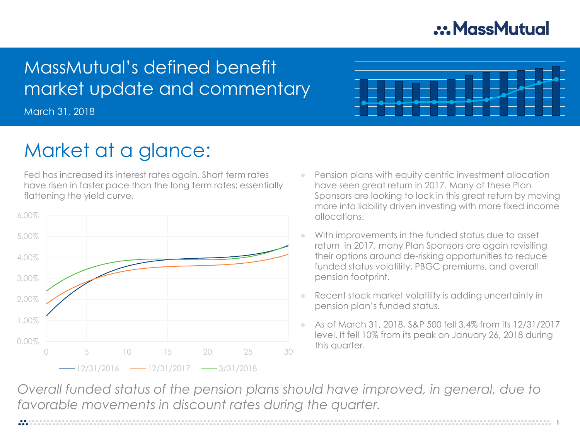## .: MassMutual

## MassMutual's defined benefit market update and commentary

March 31, 2018



# Market at a glance:

Fed has increased its interest rates again. Short term rates have risen in faster pace than the long term rates; essentially flattening the yield curve.



- Pension plans with equity centric investment allocation have seen great return in 2017. Many of these Plan Sponsors are looking to lock in this great return by moving more into liability driven investing with more fixed income allocations.
- With improvements in the funded status due to asset return in 2017, many Plan Sponsors are again revisiting their options around de-risking opportunities to reduce funded status volatility, PBGC premiums, and overall pension footprint.
- Recent stock market volatility is adding uncertainty in pension plan's funded status.
- As of March 31, 2018, S&P 500 fell 3.4% from its 12/31/2017 level. It fell 10% from its peak on January 26, 2018 during this quarter.

*Overall funded status of the pension plans should have improved, in general, due to favorable movements in discount rates during the quarter.*

**1**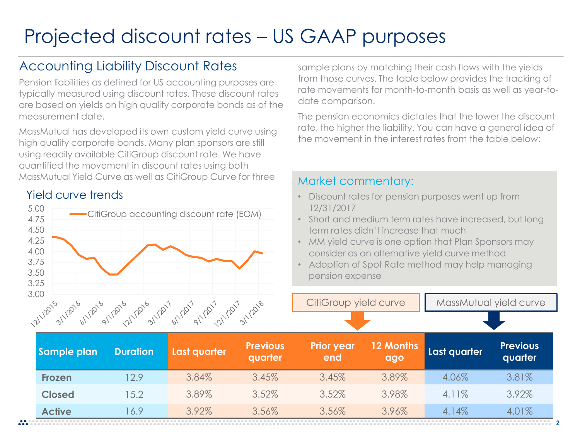# Projected discount rates – US GAAP purposes

## Accounting Liability Discount Rates

Pension liabilities as defined for US accounting purposes are typically measured using discount rates. These discount rates are based on yields on high quality corporate bonds as of the measurement date.

MassMutual has developed its own custom yield curve using high quality corporate bonds. Many plan sponsors are still using readily available CitiGroup discount rate. We have quantified the movement in discount rates using both MassMutual Yield Curve as well as CitiGroup Curve for three

#### Yield curve trends



sample plans by matching their cash flows with the yields from those curves. The table below provides the tracking of rate movements for month-to-month basis as well as year-todate comparison.

The pension economics dictates that the lower the discount rate, the higher the liability. You can have a general idea of the movement in the interest rates from the table below:

#### Market commentary:

- Discount rates for pension purposes went up from 12/31/2017
- Short and medium term rates have increased, but long term rates didn't increase that much
- MM yield curve is one option that Plan Sponsors may consider as an alternative yield curve method
- Adoption of Spot Rate method may help managing pension expense

CitiGroup yield curve | | MassMutual yield curve

|               |                 | i, 31, 91, dj, "j", 31, 91, dj, "j", 31, |                            |                          |                  |              |                            |  |
|---------------|-----------------|------------------------------------------|----------------------------|--------------------------|------------------|--------------|----------------------------|--|
| Sample plan   | <b>Duration</b> | Last quarter                             | <b>Previous</b><br>quarter | <b>Prior year</b><br>end | 12 Months<br>ago | Last quarter | <b>Previous</b><br>quarter |  |
| <b>Frozen</b> | 12.9            | 3.84%                                    | 3.45%                      | 3.45%                    | 3.89%            | 4.06%        | 3.81%                      |  |
| <b>Closed</b> | 15.2            | 3.89%                                    | 3.52%                      | 3.52%                    | 3.98%            | 4.11%        | 3.92%                      |  |
| <b>Active</b> | 6.9             | 3.92%                                    | 3.56%                      | 3.56%                    | 3.96%            | 4.14%        | 4.01%                      |  |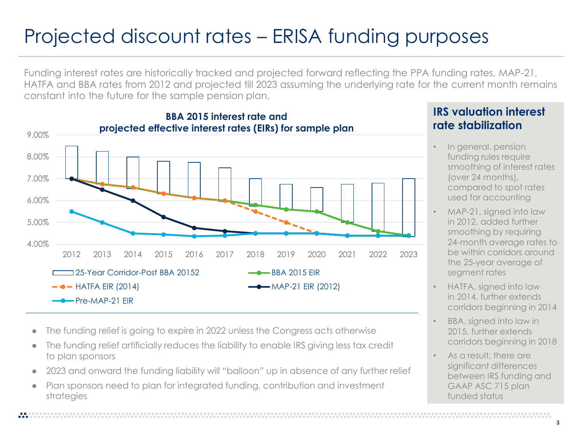# Projected discount rates – ERISA funding purposes

Funding interest rates are historically tracked and projected forward reflecting the PPA funding rates, MAP-21, HATFA and BBA rates from 2012 and projected till 2023 assuming the underlying rate for the current month remains constant into the future for the sample pension plan.



- The funding relief is going to expire in 2022 unless the Congress acts otherwise
- The funding relief artificially reduces the liability to enable IRS giving less tax credit to plan sponsors
- 2023 and onward the funding liability will "balloon" up in absence of any further relief
- Plan sponsors need to plan for integrated funding, contribution and investment strategies

#### **IRS valuation interest rate stabilization**

- In general, pension funding rules require smoothing of interest rates (over 24 months), compared to spot rates used for accounting
- MAP-21, signed into law in 2012, added further smoothing by requiring 24-month average rates to be within corridors around the 25-year average of segment rates
- HATFA, signed into law in 2014, further extends corridors beginning in 2014
- BBA, signed into law in 2015, further extends corridors beginning in 2018
- As a result, there are significant differences between IRS funding and GAAP ASC 715 plan funded status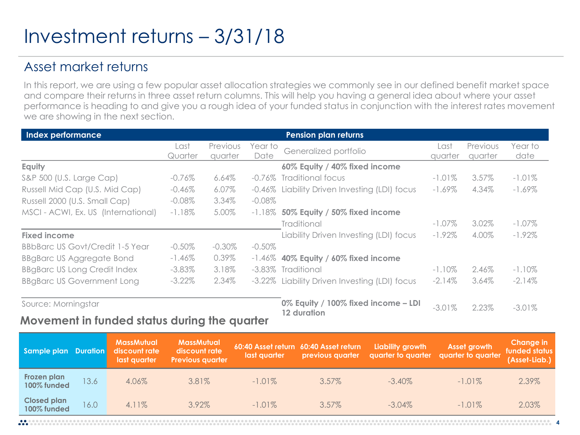# Investment returns – 3/31/18

## Asset market returns

In this report, we are using a few popular asset allocation strategies we commonly see in our defined benefit market space and compare their returns in three asset return columns. This will help you having a general idea about where your asset performance is heading to and give you a rough idea of your funded status in conjunction with the interest rates movement we are showing in the next section.

| Index performance                      |           |                 |           | Pension plan returns                               |           |                 |           |  |
|----------------------------------------|-----------|-----------------|-----------|----------------------------------------------------|-----------|-----------------|-----------|--|
|                                        | Last      | <b>Previous</b> | Year to   | Generalized portfolio                              | Last      | <b>Previous</b> | Year to   |  |
|                                        | Quarter   | quarter         | Date      |                                                    | quarter   | quarter         | date      |  |
| Equity                                 |           |                 |           | 60% Equity / 40% fixed income                      |           |                 |           |  |
| S&P 500 (U.S. Large Cap)               | $-0.76\%$ | $6.64\%$        | -0.76%    | Traditional focus                                  | $-1.01\%$ | $3.57\%$        | $-1.01\%$ |  |
| Russell Mid Cap (U.S. Mid Cap)         | $-0.46%$  | $6.07\%$        | -0.46%    | Liability Driven Investing (LDI) focus             | $-1.69\%$ | 4.34%           | $-1.69\%$ |  |
| Russell 2000 (U.S. Small Cap)          | $-0.08\%$ | 3.34%           | $-0.08\%$ |                                                    |           |                 |           |  |
| MSCI - ACWI, Ex. US (International)    | $-1.18\%$ | 5.00%           | $-1.18\%$ | 50% Equity / 50% fixed income                      |           |                 |           |  |
|                                        |           |                 |           | Traditional                                        | $-1.07\%$ | 3.02%           | $-1.07\%$ |  |
| <b>Fixed income</b>                    |           |                 |           | Liability Driven Investing (LDI) focus             | $-1.92\%$ | 4.00%           | $-1.92\%$ |  |
| <b>BBbBarc US Govt/Credit 1-5 Year</b> | $-0.50\%$ | $-0.30\%$       | $-0.50\%$ |                                                    |           |                 |           |  |
| <b>BBgBarc US Aggregate Bond</b>       | $-1.46\%$ | 0.39%           | -1.46%    | 40% Equity / 60% fixed income                      |           |                 |           |  |
| <b>BBgBarc US Long Credit Index</b>    | $-3.83\%$ | 3.18%           | $-3.83\%$ | Traditional                                        | $-1.10\%$ | 2.46%           | $-1.10\%$ |  |
| <b>BBgBarc US Government Long</b>      | $-3.22\%$ | 2.34%           | -3.22%    | Liability Driven Investing (LDI) focus             | $-2.14\%$ | 3.64%           | $-2.14\%$ |  |
| Source: Morningstar<br>.               |           |                 |           | 0% Equity / 100% fixed income - LDI<br>12 duration | $-3.01%$  | 2.23%           | $-3.01%$  |  |

#### **Movement in funded status during the quarter**

| Sample plan Duration              |      | <b>MassMutual</b><br>discount rate<br>last quarter | <b>MassMutual</b><br>discount rate<br><b>Previous quarter</b> | last quarter | 60:40 Asset return 60:40 Asset return<br>previous quarter | Liability growth | Asset growth<br>quarter to quarter quarter to quarter | Change in<br>funded status<br>(Asset-Liab.) |
|-----------------------------------|------|----------------------------------------------------|---------------------------------------------------------------|--------------|-----------------------------------------------------------|------------------|-------------------------------------------------------|---------------------------------------------|
| Frozen plan<br>100% funded        | 13.6 | 4.06%                                              | 3.81%                                                         | $-1.01\%$    | $3.57\%$                                                  | $-3.40\%$        | $-1.01\%$                                             | 2.39%                                       |
| <b>Closed plan</b><br>100% funded | 16.0 | $4.11\%$                                           | $3.92\%$                                                      | $-1.01\%$    | $3.57\%$                                                  | $-3.04\%$        | $-1.01\%$                                             | 2.03%                                       |

**4**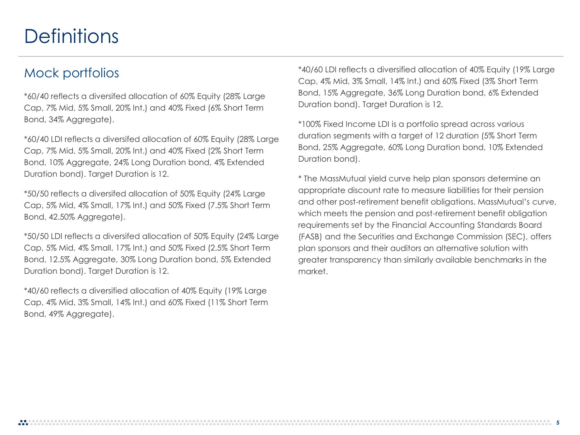## **Definitions**

### Mock portfolios

\*60/40 reflects a diversifed allocation of 60% Equity (28% Large Cap, 7% Mid, 5% Small, 20% Int.) and 40% Fixed (6% Short Term Bond, 34% Aggregate).

\*60/40 LDI reflects a diversifed allocation of 60% Equity (28% Large Cap, 7% Mid, 5% Small, 20% Int.) and 40% Fixed (2% Short Term Bond, 10% Aggregate, 24% Long Duration bond, 4% Extended Duration bond). Target Duration is 12.

\*50/50 reflects a diversifed allocation of 50% Equity (24% Large Cap, 5% Mid, 4% Small, 17% Int.) and 50% Fixed (7.5% Short Term Bond, 42.50% Aggregate).

\*50/50 LDI reflects a diversifed allocation of 50% Equity (24% Large Cap, 5% Mid, 4% Small, 17% Int.) and 50% Fixed (2.5% Short Term Bond, 12.5% Aggregate, 30% Long Duration bond, 5% Extended Duration bond). Target Duration is 12.

\*40/60 reflects a diversified allocation of 40% Equity (19% Large Cap, 4% Mid, 3% Small, 14% Int.) and 60% Fixed (11% Short Term Bond, 49% Aggregate).

\*40/60 LDI reflects a diversified allocation of 40% Equity (19% Large Cap, 4% Mid, 3% Small, 14% Int.) and 60% Fixed (3% Short Term Bond, 15% Aggregate, 36% Long Duration bond, 6% Extended Duration bond). Target Duration is 12.

\*100% Fixed Income LDI is a portfolio spread across various duration segments with a target of 12 duration (5% Short Term Bond, 25% Aggregate, 60% Long Duration bond, 10% Extended Duration bond).

\* The MassMutual yield curve help plan sponsors determine an appropriate discount rate to measure liabilities for their pension and other post-retirement benefit obligations. MassMutual's curve, which meets the pension and post-retirement benefit obligation requirements set by the Financial Accounting Standards Board (FASB) and the Securities and Exchange Commission (SEC), offers plan sponsors and their auditors an alternative solution with greater transparency than similarly available benchmarks in the market.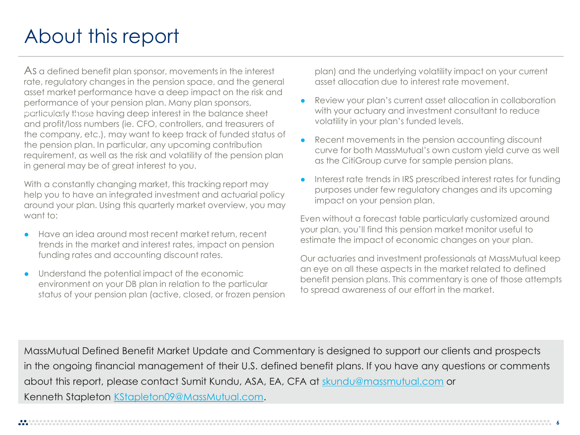# About this report

As a defined benefit plan sponsor, movements in the interest rate, regulatory changes in the pension space, and the general asset market performance have a deep impact on the risk and performance of your pension plan. Many plan sponsors, .<br>particularly those having deep interest in the balance sheet and profit/loss numbers (ie. CFO, controllers, and treasurers of the company, etc.), may want to keep track of funded status of the pension plan. In particular, any upcoming contribution requirement, as well as the risk and volatility of the pension plan in general may be of great interest to you.

With a constantly changing market, this tracking report may help you to have an integrated investment and actuarial policy around your plan. Using this quarterly market overview, you may want to:

- Have an idea around most recent market return, recent trends in the market and interest rates, impact on pension funding rates and accounting discount rates.
- Understand the potential impact of the economic environment on your DB plan in relation to the particular status of your pension plan (active, closed, or frozen pension

plan) and the underlying volatility impact on your current asset allocation due to interest rate movement.

- Review your plan's current asset allocation in collaboration with your actuary and investment consultant to reduce volatility in your plan's funded levels.
- Recent movements in the pension accounting discount curve for both MassMutual's own custom yield curve as well as the CitiGroup curve for sample pension plans.
- Interest rate trends in IRS prescribed interest rates for funding purposes under few regulatory changes and its upcoming impact on your pension plan.

Even without a forecast table particularly customized around your plan, you'll find this pension market monitor useful to estimate the impact of economic changes on your plan.

Our actuaries and investment professionals at MassMutual keep an eye on all these aspects in the market related to defined benefit pension plans. This commentary is one of those attempts to spread awareness of our effort in the market.

MassMutual Defined Benefit Market Update and Commentary is designed to support our clients and prospects in the ongoing financial management of their U.S. defined benefit plans. If you have any questions or comments about this report, please contact Sumit Kundu, ASA, EA, CFA at [skundu@massmutual.com](mailto:skundu@massmutual.com) or Kenneth Stapleton [KStapleton09@MassMutual.com](mailto:KStapleton09@MassMutual.com).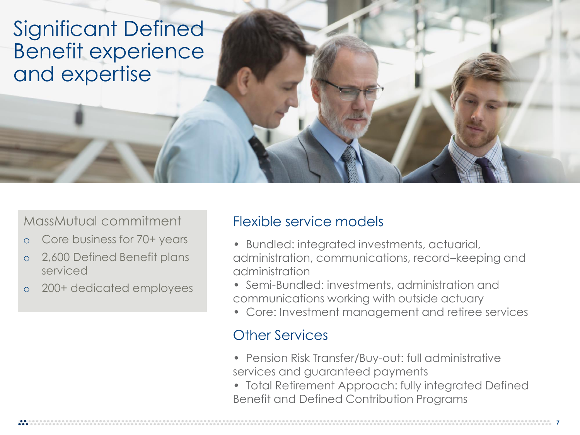Significant Defined Benefit experience and expertise

## MassMutual commitment

- o Core business for 70+ years
- o 2,600 Defined Benefit plans serviced
- 200+ dedicated employees

## Flexible service models

- Bundled: integrated investments, actuarial, administration, communications, record–keeping and administration
- Semi-Bundled: investments, administration and communications working with outside actuary
- Core: Investment management and retiree services

## Other Services

- Pension Risk Transfer/Buy-out: full administrative services and guaranteed payments
- Total Retirement Approach: fully integrated Defined Benefit and Defined Contribution Programs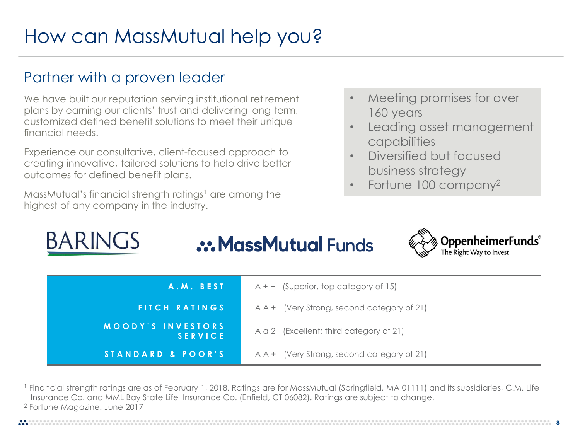# How can MassMutual help you?

## Partner with a proven leader

RADINICS

We have built our reputation serving institutional retirement plans by earning our clients' trust and delivering long-term, customized defined benefit solutions to meet their unique financial needs.

Experience our consultative, client-focused approach to creating innovative, tailored solutions to help drive better outcomes for defined benefit plans.

MassMutual's financial strength ratings<sup>1</sup> are among the highest of any company in the industry.

- Meeting promises for over 160 years
- Leading asset management capabilities
- Diversified but focused business strategy
- Fortune 100 company<sup>2</sup>

| <b>BARINGS</b>    | <b>.:. MassMutual Funds</b> |                                            | <b>WAB</b> OppenheimerFunds®<br>The Right Way to Invest |
|-------------------|-----------------------------|--------------------------------------------|---------------------------------------------------------|
| A.M. BEST         |                             | $A + +$ (Superior, top category of 15)     |                                                         |
| FITCH RATINGS     |                             | A A + (Very Strong, second category of 21) |                                                         |
| MOODY'S INVESTORS | <b>SERVICE</b>              | A a 2 (Excellent; third category of 21)    |                                                         |
| STANDARD & POOR'S |                             | A A + (Very Strong, second category of 21) |                                                         |

<sup>1</sup> Financial strength ratings are as of February 1, 2018. Ratings are for MassMutual (Springfield, MA 01111) and its subsidiaries, C.M. Life Insurance Co. and MML Bay State Life Insurance Co. (Enfield, CT 06082). Ratings are subject to change. <sup>2</sup> Fortune Magazine: June 2017